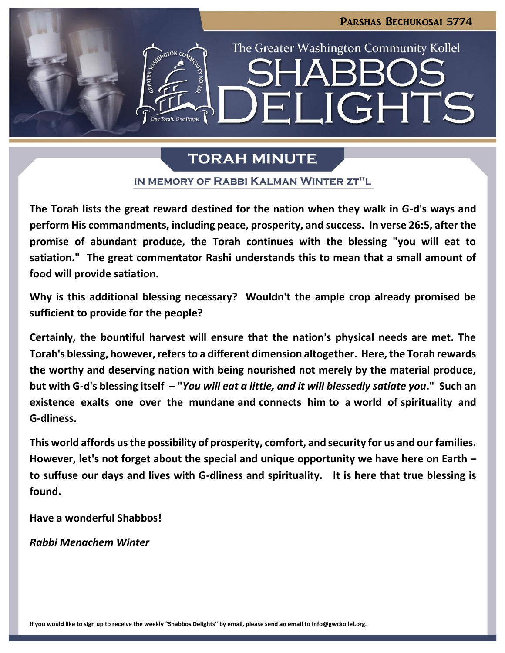

## **TORAH MINUTE**

IN MEMORY OF RABBI KALMAN WINTER ZT"L

**The Torah lists the great reward destined for the nation when they walk in G-d's ways and perform His commandments, including peace, prosperity, and success. In verse 26:5, after the promise of abundant produce, the Torah continues with the blessing "you will eat to satiation." The great commentator Rashi understands this to mean that a small amount of food will provide satiation.**

**Why is this additional blessing necessary? Wouldn't the ample crop already promised be sufficient to provide for the people?**

**Certainly, the bountiful harvest will ensure that the nation's physical needs are met. The Torah's blessing, however, refers to a different dimension altogether. Here, the Torah rewards the worthy and deserving nation with being nourished not merely by the material produce, but with G-d's blessing itself – "***You will eat a little, and it will blessedly satiate you***." Such an existence exalts one over the mundane and connects him to a world of spirituality and G-dliness.**

**This world affords us the possibility of prosperity, comfort, and security for us and our families. However, let's not forget about the special and unique opportunity we have here on Earth – to suffuse our days and lives with G-dliness and spirituality. It is here that true blessing is found.**

**Have a wonderful Shabbos!**

*Rabbi Menachem Winter*